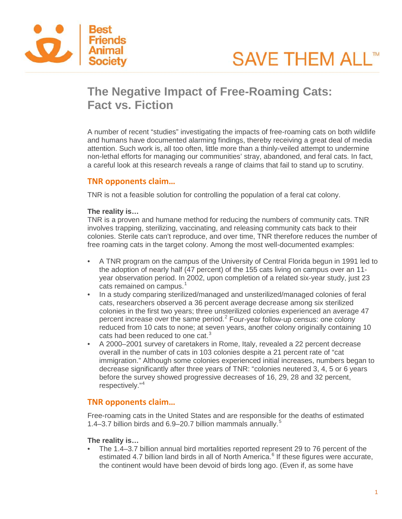



# **The Negative Impact of Free-Roaming Cats: Fact vs. Fiction**

A number of recent "studies" investigating the impacts of free-roaming cats on both wildlife and humans have documented alarming findings, thereby receiving a great deal of media attention. Such work is, all too often, little more than a thinly-veiled attempt to undermine non-lethal efforts for managing our communities' stray, abandoned, and feral cats. In fact, a careful look at this research reveals a range of claims that fail to stand up to scrutiny.

## **TNR opponents claim…**

TNR is not a feasible solution for controlling the population of a feral cat colony.

#### **The reality is…**

TNR is a proven and humane method for reducing the numbers of community cats. TNR involves trapping, sterilizing, vaccinating, and releasing community cats back to their colonies. Sterile cats can't reproduce, and over time, TNR therefore reduces the number of free roaming cats in the target colony. Among the most well-documented examples:

- A TNR program on the campus of the University of Central Florida begun in 1991 led to the adoption of nearly half (47 percent) of the 155 cats living on campus over an 11 year observation period. In 2002, upon completion of a related six-year study, just 23 cats remained on campus. [1](#page-3-0)
- In a study comparing sterilized/managed and unsterilized/managed colonies of feral cats, researchers observed a 36 percent average decrease among six sterilized colonies in the first two years; three unsterilized colonies experienced an average 47 percent increase over the same period.<sup>[2](#page-3-1)</sup> Four-year follow-up census: one colony reduced from 10 cats to none; at seven years, another colony originally containing 10 cats had been reduced to one cat.<sup>[3](#page-3-2)</sup>
- A 2000–2001 survey of caretakers in Rome, Italy, revealed a 22 percent decrease overall in the number of cats in 103 colonies despite a 21 percent rate of "cat immigration." Although some colonies experienced initial increases, numbers began to decrease significantly after three years of TNR: "colonies neutered 3, 4, 5 or 6 years before the survey showed progressive decreases of 16, 29, 28 and 32 percent, respectively."[4](#page-3-3)

## **TNR opponents claim…**

Free-roaming cats in the United States and are responsible for the deaths of estimated 1.4–3.7 billion birds and 6.9–20.7 billion mammals annually. [5](#page-3-4)

## **The reality is…**

• The 1.4–3.7 billion annual bird mortalities reported represent 29 to 76 percent of the estimated 4.7 billion land birds in all of North America.<sup>[6](#page-3-5)</sup> If these figures were accurate, the continent would have been devoid of birds long ago. (Even if, as some have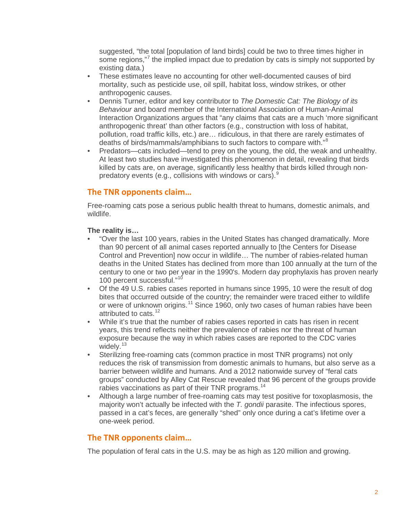suggested, "the total [population of land birds] could be two to three times higher in some regions,"<sup>[7](#page-3-6)</sup> the implied impact due to predation by cats is simply not supported by existing data.)

- These estimates leave no accounting for other well-documented causes of bird mortality, such as pesticide use, oil spill, habitat loss, window strikes, or other anthropogenic causes.
- Dennis Turner, editor and key contributor to *The Domestic Cat: The Biology of its Behaviour* and board member of the International Association of Human-Animal Interaction Organizations argues that "any claims that cats are a much 'more significant anthropogenic threat' than other factors (e.g., construction with loss of habitat, pollution, road traffic kills, etc.) are… ridiculous, in that there are rarely estimates of deaths of birds/mammals/amphibians to such factors to compare with."[8](#page-3-7)
- Predators—cats included—tend to prey on the young, the old, the weak and unhealthy. At least two studies have investigated this phenomenon in detail, revealing that birds killed by cats are, on average, significantly less healthy that birds killed through nonpredatory events (e.g., collisions with windows or cars). $9$

# **The TNR opponents claim…**

Free-roaming cats pose a serious public health threat to humans, domestic animals, and wildlife.

## **The reality is…**

- "Over the last 100 years, rabies in the United States has changed dramatically. More than 90 percent of all animal cases reported annually to [the Centers for Disease Control and Prevention] now occur in wildlife… The number of rabies-related human deaths in the United States has declined from more than 100 annually at the turn of the century to one or two per year in the 1990's. Modern day prophylaxis has proven nearly [10](#page-3-9)0 percent successful."<sup>10</sup>
- Of the 49 U.S. rabies cases reported in humans since 1995, 10 were the result of dog bites that occurred outside of the country; the remainder were traced either to wildlife or were of unknown origins.<sup>[11](#page-3-10)</sup> Since 1960, only two cases of human rabies have been attributed to cats.<sup>[12](#page-3-11)</sup>
- While it's true that the number of rabies cases reported in cats has risen in recent years, this trend reflects neither the prevalence of rabies nor the threat of human exposure because the way in which rabies cases are reported to the CDC varies widely.<sup>[13](#page-3-12)</sup>
- Sterilizing free-roaming cats (common practice in most TNR programs) not only reduces the risk of transmission from domestic animals to humans, but also serve as a barrier between wildlife and humans. And a 2012 nationwide survey of "feral cats groups" conducted by Alley Cat Rescue revealed that 96 percent of the groups provide rabies vaccinations as part of their TNR programs.<sup>[14](#page-4-0)</sup>
- Although a large number of free-roaming cats may test positive for toxoplasmosis, the majority won't actually be infected with the *T. gondii* parasite. The infectious spores, passed in a cat's feces, are generally "shed" only once during a cat's lifetime over a one-week period.

# **The TNR opponents claim…**

The population of feral cats in the U.S. may be as high as 120 million and growing.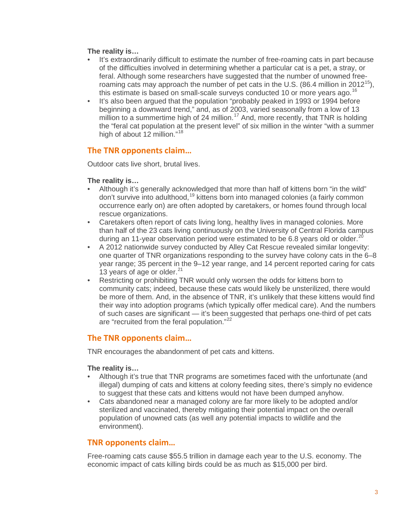#### **The reality is…**

- It's extraordinarily difficult to estimate the number of free-roaming cats in part because of the difficulties involved in determining whether a particular cat is a pet, a stray, or feral. Although some researchers have suggested that the number of unowned freeroaming cats may approach the number of pet cats in the U.S. (86.4 million in 2012<sup>15</sup>), this estimate is based on small-scale surveys conducted 10 or more years ago.<sup>[16](#page-4-2)</sup>
- It's also been argued that the population "probably peaked in 1993 or 1994 before beginning a downward trend," and, as of 2003, varied seasonally from a low of 13 million to a summertime high of 24 million.<sup>[17](#page-4-3)</sup> And, more recently, that TNR is holding the "feral cat population at the present level" of six million in the winter "with a summer high of about 12 million."<sup>[18](#page-4-4)</sup>

## **The TNR opponents claim…**

Outdoor cats live short, brutal lives.

## **The reality is…**

- Although it's generally acknowledged that more than half of kittens born "in the wild" don't survive into adulthood, <sup>[19](#page-4-5)</sup> kittens born into managed colonies (a fairly common occurrence early on) are often adopted by caretakers, or homes found through local rescue organizations.
- Caretakers often report of cats living long, healthy lives in managed colonies. More than half of the 23 cats living continuously on the University of Central Florida campus during an 11-year observation period were estimated to be 6.8 years old or older.<sup>[20](#page-4-6)</sup>
- A 2012 nationwide survey conducted by Alley Cat Rescue revealed similar longevity: one quarter of TNR organizations responding to the survey have colony cats in the 6–8 year range; 35 percent in the 9–12 year range, and 14 percent reported caring for cats 13 years of age or older. $21$
- Restricting or prohibiting TNR would only worsen the odds for kittens born to community cats; indeed, because these cats would likely be unsterilized, there would be more of them. And, in the absence of TNR, it's unlikely that these kittens would find their way into adoption programs (which typically offer medical care). And the numbers of such cases are significant — it's been suggested that perhaps one-third of pet cats are "recruited from the feral population."[22](#page-4-8)

# **The TNR opponents claim…**

TNR encourages the abandonment of pet cats and kittens.

## **The reality is…**

- Although it's true that TNR programs are sometimes faced with the unfortunate (and illegal) dumping of cats and kittens at colony feeding sites, there's simply no evidence to suggest that these cats and kittens would not have been dumped anyhow.
- Cats abandoned near a managed colony are far more likely to be adopted and/or sterilized and vaccinated, thereby mitigating their potential impact on the overall population of unowned cats (as well any potential impacts to wildlife and the environment).

## **TNR opponents claim…**

Free-roaming cats cause \$55.5 trillion in damage each year to the U.S. economy. The economic impact of cats killing birds could be as much as \$15,000 per bird.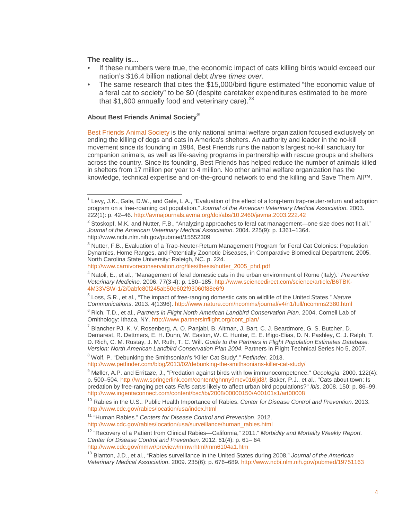#### **The reality is…**

- If these numbers were true, the economic impact of cats killing birds would exceed our nation's \$16.4 billion national debt *three times over*.
- The same research that cites the \$15,000/bird figure estimated "the economic value of a feral cat to society" to be \$0 (despite caretaker expenditures estimated to be more that  $$1,600$  annually food and veterinary care).<sup>[23](#page-4-9)</sup>

#### **About Best Friends Animal Society®**

[Best Friends Animal Society](http://bestfriends.org/) is the only national animal welfare organization focused exclusively on ending the killing of dogs and cats in America's shelters. An authority and leader in the no-kill movement since its founding in 1984, Best Friends runs the nation's largest no-kill sanctuary for companion animals, as well as life-saving programs in partnership with rescue groups and shelters across the country. Since its founding, Best Friends has helped reduce the number of animals killed in shelters from 17 million per year to 4 million. No other animal welfare organization has the knowledge, technical expertise and on-the-ground network to end the killing and Save Them All™.

<span id="page-3-2"></span><sup>3</sup> Nutter, F.B., Evaluation of a Trap-Neuter-Return Management Program for Feral Cat Colonies: Population Dynamics, Home Ranges, and Potentially Zoonotic Diseases, in Comparative Biomedical Department. 2005, North Carolina State University: Raleigh, NC. p. 224.

[http://www.carnivoreconservation.org/files/thesis/nutter\\_2005\\_phd.pdf](http://www.carnivoreconservation.org/files/thesis/nutter_2005_phd.pdf)

<span id="page-3-4"></span><sup>5</sup> Loss, S.R., et al., "The impact of free-ranging domestic cats on wildlife of the United States." *Nature Communications*. 2013. 4(1396).<http://www.nature.com/ncomms/journal/v4/n1/full/ncomms2380.html>

<span id="page-3-5"></span><sup>6</sup> Rich, T.D., et al., *Partners in Flight North American Landbird Conservation Plan*. 2004, Cornell Lab of Ornithology: Ithaca, NY. [http://www.partnersinflight.org/cont\\_plan/](http://www.partnersinflight.org/cont_plan/)

<span id="page-3-7"></span><sup>8</sup> Wolf, P. "Debunking the Smithsonian's 'Killer Cat Study'." *Petfinder*. 2013.

[http://www.cdc.gov/rabies/location/usa/surveillance/human\\_rabies.html](http://www.cdc.gov/rabies/location/usa/surveillance/human_rabies.html)

<span id="page-3-11"></span><sup>12</sup> "Recovery of a Patient from Clinical Rabies—California," 2011." *Morbidity and Mortality Weekly Report. Center for Disease Control and Prevention*. 2012. 61(4): p. 61– 64. <http://www.cdc.gov/mmwr/preview/mmwrhtml/mm6104a1.htm>

<span id="page-3-12"></span><sup>13</sup> Blanton, J.D., et al., "Rabies surveillance in the United States during 2008." *Journal of the American Veterinary Medical Association*. 2009. 235(6): p. 676–689[. http://www.ncbi.nlm.nih.gov/pubmed/19751163](http://www.ncbi.nlm.nih.gov/pubmed/19751163)

<span id="page-3-0"></span> $1$  Levy, J.K., Gale, D.W., and Gale, L.A., "Evaluation of the effect of a long-term trap-neuter-return and adoption program on a free-roaming cat population." *Journal of the American Veterinary Medical Association*. 2003. 222(1): p. 42–46.<http://avmajournals.avma.org/doi/abs/10.2460/javma.2003.222.42>

<span id="page-3-1"></span> $2$  Stoskopf, M.K. and Nutter, F.B., "Analyzing approaches to feral cat management—one size does not fit all." *Journal of the American Veterinary Medical Association*. 2004. 225(9): p. 1361–1364. http://www.ncbi.nlm.nih.gov/pubmed/15552309

<span id="page-3-3"></span><sup>4</sup> Natoli, E., et al., "Management of feral domestic cats in the urban environment of Rome (Italy)." *Preventive Veterinary Medicine.* 2006. 77(3-4): p. 180–185. [http://www.sciencedirect.com/science/article/B6TBK-](http://www.sciencedirect.com/science/article/B6TBK-4M33VSW-1/2/0abfc80f245ab50e602f93060f88e6f9)[4M33VSW-1/2/0abfc80f245ab50e602f93060f88e6f9](http://www.sciencedirect.com/science/article/B6TBK-4M33VSW-1/2/0abfc80f245ab50e602f93060f88e6f9)

<span id="page-3-6"></span><sup>7</sup> Blancher PJ, K. V. Rosenberg, A. O. Panjabi, B. Altman, J. Bart, C. J. Beardmore, G. S. Butcher, D. Demarest, R. Dettmers, E. H. Dunn, W. Easton, W. C. Hunter, E. E. Iñigo-Elias, D. N. Pashley, C. J. Ralph, T. D. Rich, C. M. Rustay, J. M. Ruth, T. C. Will. *Guide to the Partners in Flight Population Estimates Database. Version: North American Landbird Conservation Plan 2004*. Partners in Flight Technical Series No 5, 2007.

<http://www.petfinder.com/blog/2013/02/debunking-the-smithsonians-killer-cat-study/>

<span id="page-3-8"></span><sup>9</sup> Møller, A.P. and Erritzøe, J., "Predation against birds with low immunocompetence." *Oecologia*. 2000. 122(4): p. 500–504. [http://www.springerlink.com/content/ghnny9mcv016ljd8/;](http://www.springerlink.com/content/ghnny9mcv016ljd8/) Baker, P.J., et al., "Cats about town: Is predation by free-ranging pet cats *Felis catus* likely to affect urban bird populations?" *Ibis*. 2008. 150: p. 86–99. <http://www.ingentaconnect.com/content/bsc/ibi/2008/00000150/A00101s1/art00008>

<span id="page-3-9"></span><sup>10</sup> Rabies in the U.S.: Public Health Importance of Rabies. *Center for Disease Control and Prevention*. 2013. <http://www.cdc.gov/rabies/location/usa/index.html>

<span id="page-3-10"></span><sup>11</sup> "Human Rabies." *Centers for Disease Control and Prevention*. 2012.